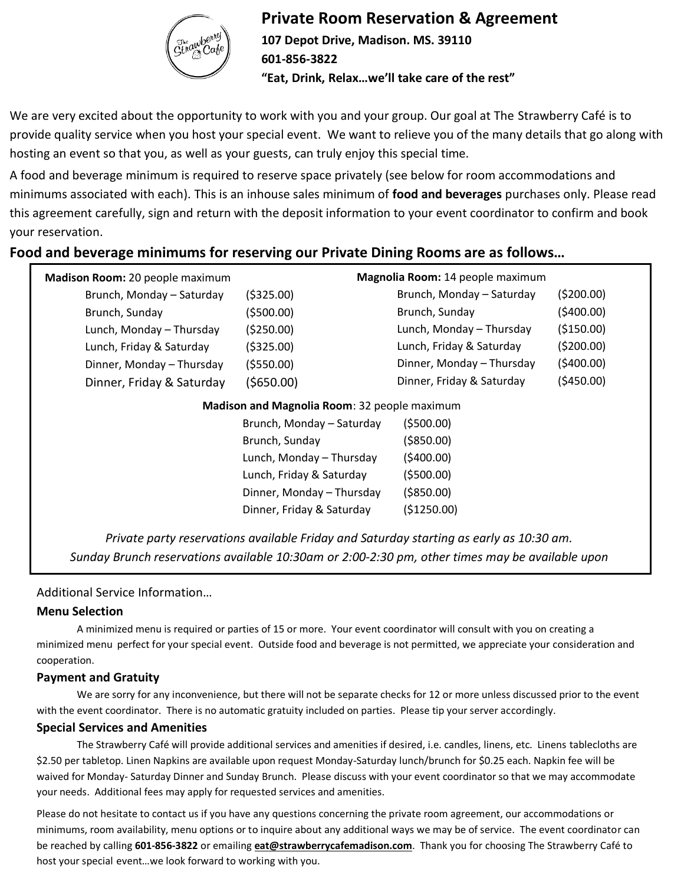

### **Private Room Reservation & Agreement**

**107 Depot Drive, Madison. MS. 39110 601-856-3822 "Eat, Drink, Relax…we'll take care of the rest"**

We are very excited about the opportunity to work with you and your group. Our goal at The Strawberry Café is to provide quality service when you host your special event. We want to relieve you of the many details that go along with hosting an event so that you, as well as your guests, can truly enjoy this special time.

A food and beverage minimum is required to reserve space privately (see below for room accommodations and minimums associated with each). This is an inhouse sales minimum of **food and beverages** purchases only. Please read this agreement carefully, sign and return with the deposit information to your event coordinator to confirm and book your reservation.

### **Food and beverage minimums for reserving our Private Dining Rooms are as follows…**

| Madison Room: 20 people maximum                                                                                                                                                            |                           | Magnolia Room: 14 people maximum |             |  |
|--------------------------------------------------------------------------------------------------------------------------------------------------------------------------------------------|---------------------------|----------------------------------|-------------|--|
| Brunch, Monday - Saturday                                                                                                                                                                  | ( \$325.00)               | Brunch, Monday - Saturday        | (5200.00)   |  |
| Brunch, Sunday                                                                                                                                                                             | (\$500.00)                | Brunch, Sunday                   | (5400.00)   |  |
| Lunch, Monday - Thursday                                                                                                                                                                   | (5250.00)                 | Lunch, Monday - Thursday         | ( \$150.00) |  |
| Lunch, Friday & Saturday                                                                                                                                                                   | ( \$325.00)               | Lunch, Friday & Saturday         | (5200.00)   |  |
| Dinner, Monday - Thursday                                                                                                                                                                  | ( \$550.00)               | Dinner, Monday - Thursday        | (5400.00)   |  |
| Dinner, Friday & Saturday                                                                                                                                                                  | $($ \$650.00)             | Dinner, Friday & Saturday        | (5450.00)   |  |
| Madison and Magnolia Room: 32 people maximum                                                                                                                                               |                           |                                  |             |  |
|                                                                                                                                                                                            | Brunch, Monday - Saturday | (5500.00)                        |             |  |
|                                                                                                                                                                                            | Brunch, Sunday            | ( \$850.00)                      |             |  |
|                                                                                                                                                                                            | Lunch, Monday - Thursday  | (5400.00)                        |             |  |
|                                                                                                                                                                                            | Lunch, Friday & Saturday  | (5500.00)                        |             |  |
|                                                                                                                                                                                            | Dinner, Monday - Thursday | ( \$850.00)                      |             |  |
|                                                                                                                                                                                            | Dinner, Friday & Saturday | (\$1250.00)                      |             |  |
| Private party reservations available Friday and Saturday starting as early as 10:30 am.<br>Sunday Brunch reservations available 10:30am or 2:00-2:30 pm, other times may be available upon |                           |                                  |             |  |

#### Additional Service Information…

#### **Menu Selection**

A minimized menu is required or parties of 15 or more. Your event coordinator will consult with you on creating a minimized menu perfect for your special event. Outside food and beverage is not permitted, we appreciate your consideration and cooperation.

*discussion.*

#### **Payment and Gratuity**

We are sorry for any inconvenience, but there will not be separate checks for 12 or more unless discussed prior to the event with the event coordinator. There is no automatic gratuity included on parties. Please tip your server accordingly.

#### **Special Services and Amenities**

The Strawberry Café will provide additional services and amenities if desired, i.e. candles, linens, etc. Linens tablecloths are \$2.50 per tabletop. Linen Napkins are available upon request Monday-Saturday lunch/brunch for \$0.25 each. Napkin fee will be waived for Monday- Saturday Dinner and Sunday Brunch. Please discuss with your event coordinator so that we may accommodate your needs. Additional fees may apply for requested services and amenities.

Please do not hesitate to contact us if you have any questions concerning the private room agreement, our accommodations or minimums, room availability, menu options or to inquire about any additional ways we may be of service. The event coordinator can be reached by calling **601-856-3822** or emailing **[eat@strawberrycafemadison.com](mailto:eat@strawberrycafemadison.com)**. Thank you for choosing The Strawberry Café to host your special event…we look forward to working with you.